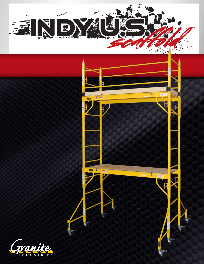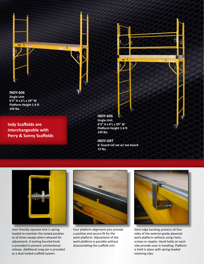

**INDY-606 Single Unit 6'3" H x 6'L x 29" W Platform Height 1-6 ft 149 lbs.**

**Indy Scaffolds are interchangeable with Perry & Sonny Scaffolds**

**INDY-606 Single Unit 6'3" H x 6'L x 29" W Platform Height 1-6 ft 149 lbs.**

**INDY-GRT 6' Guard rail set w/ toe board 72 lbs.**



User friendly squeeze-lock is spring loaded to maintain the locked position at all times except when released for adjustment. A locking knurled knob is provided to prevent unintentional release. Additional snap pin is provided as a dual locked scaffold system.



Four platform alignment pins provide a positive and secure fit for the work platform. Adjustment of the work platform is possible without disassembling the scaffold unit.



Steel edge banding protects all four sides of the exterior-grade plywood work platform without using rivets, screws or staples. Hand holds on each side provide ease in handling. Platform is held in place with spring-loaded retaining clips.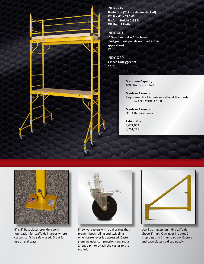

## **INDY-606**

**Single Unit (2 Units shown stacked) 12" H x 6'L x 29" W Platform Height 2-12 ft 298 lbs. (2 Units)**

## **INDY-GRT**

**6' Guard rail set w/ toe board (End guard rail panels not used in this application) 72 lbs.**

**INDY-ORP 4 Piece Outrigger Set 27 lbs.**

> **Maximum Capacity** 1000 lbs. Distributed

**Meets or Exceeds** Requirements of American National Standards Institute ANSI CODE A 10.8

**Meets or Exceeds** OSHA Requirements

**Patent No's** 6,471,003 6,761,247



4" x 4" Baseplates provide a solid foundation for scaffolds in areas where casters can't be safely used. Great for use on stairways.



5" swivel casters with dual brakes that prevent both rolling and swiveling when brake lever is depressed. Caster stem includes compression ring and a 2" snap pin to attach the caster to the scaffold.



Use 4 outriggers on Indy Scaffolds above 6' high. Outrigger includes 2 snap pins and 1 thumb screw. Casters and base plates sold separately.